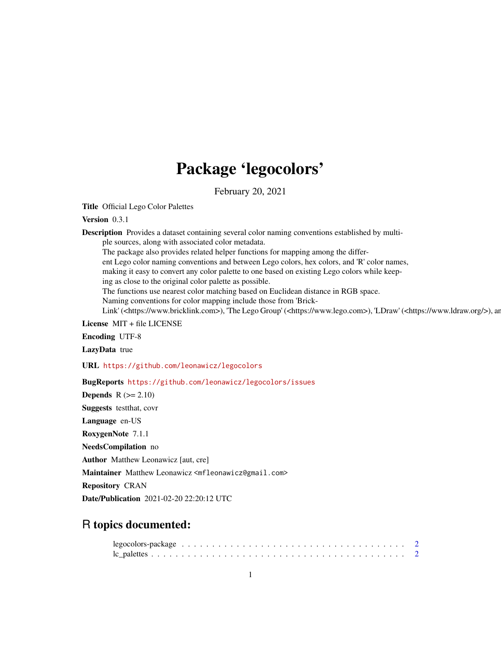## Package 'legocolors'

February 20, 2021

Title Official Lego Color Palettes

Version 0.3.1

Description Provides a dataset containing several color naming conventions established by multi-

ple sources, along with associated color metadata.

The package also provides related helper functions for mapping among the differ-

ent Lego color naming conventions and between Lego colors, hex colors, and 'R' color names,

making it easy to convert any color palette to one based on existing Lego colors while keep-

ing as close to the original color palette as possible.

The functions use nearest color matching based on Euclidean distance in RGB space.

Naming conventions for color mapping include those from 'Brick-

Link' (<https://www.bricklink.com>), 'The Lego Group' (<https://www.lego.com>), 'LDraw' (<https://www.ldraw.org/>), an

License MIT + file LICENSE

Encoding UTF-8

LazyData true

URL <https://github.com/leonawicz/legocolors>

BugReports <https://github.com/leonawicz/legocolors/issues>

**Depends**  $R$  ( $>= 2.10$ )

Suggests testthat, covr

Language en-US

RoxygenNote 7.1.1

NeedsCompilation no

Author Matthew Leonawicz [aut, cre]

Maintainer Matthew Leonawicz <mfleonawicz@gmail.com>

Repository CRAN

Date/Publication 2021-02-20 22:20:12 UTC

### R topics documented: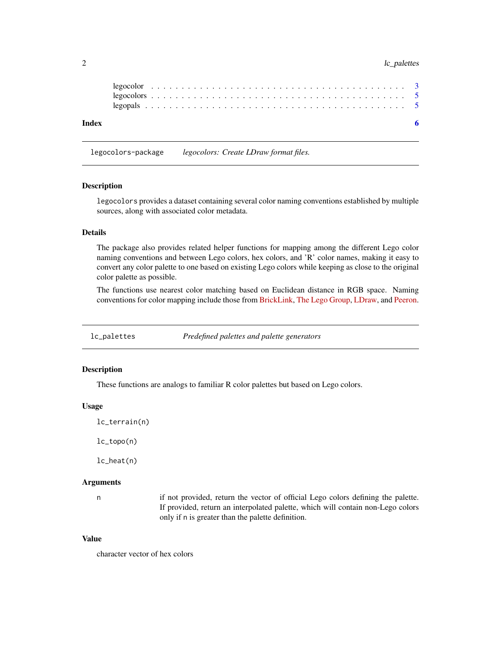#### <span id="page-1-0"></span>2 lc\_palettes

| Index |  |  |  |  |  |  |  |  |  |  |  |  |  |  |  |  |  |  |  |  |  |  |  |
|-------|--|--|--|--|--|--|--|--|--|--|--|--|--|--|--|--|--|--|--|--|--|--|--|
|       |  |  |  |  |  |  |  |  |  |  |  |  |  |  |  |  |  |  |  |  |  |  |  |
|       |  |  |  |  |  |  |  |  |  |  |  |  |  |  |  |  |  |  |  |  |  |  |  |

legocolors-package *legocolors: Create LDraw format files.*

#### **Description**

legocolors provides a dataset containing several color naming conventions established by multiple sources, along with associated color metadata.

#### Details

The package also provides related helper functions for mapping among the different Lego color naming conventions and between Lego colors, hex colors, and 'R' color names, making it easy to convert any color palette to one based on existing Lego colors while keeping as close to the original color palette as possible.

The functions use nearest color matching based on Euclidean distance in RGB space. Naming conventions for color mapping include those from [BrickLink,](https://www.bricklink.com) [The Lego Group,](https://www.lego.com) [LDraw,](https://www.ldraw.org/) and [Peeron.](http://www.peeron.com/)

lc\_palettes *Predefined palettes and palette generators*

#### Description

These functions are analogs to familiar R color palettes but based on Lego colors.

#### Usage

lc\_terrain(n)

lc\_topo(n)

lc\_heat(n)

#### Arguments

n if not provided, return the vector of official Lego colors defining the palette. If provided, return an interpolated palette, which will contain non-Lego colors only if n is greater than the palette definition.

#### Value

character vector of hex colors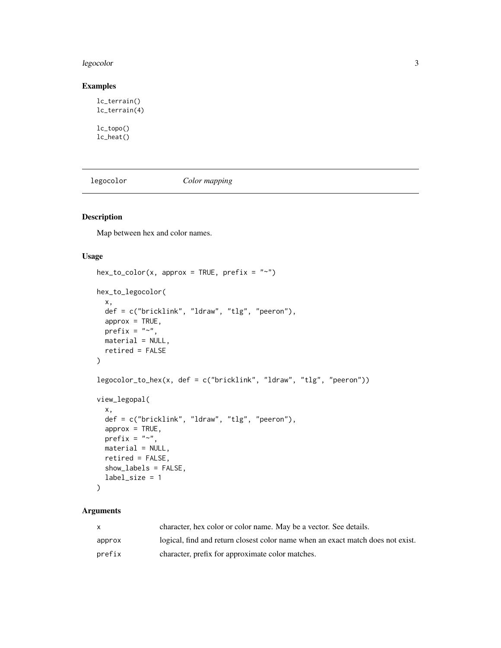#### <span id="page-2-0"></span>legocolor 3

#### Examples

```
lc_terrain()
lc_terrain(4)
```
lc\_topo() lc\_heat()

legocolor *Color mapping*

#### Description

Map between hex and color names.

#### Usage

```
hex\_to\_color(x, approx = TRUE, prefix = "~")hex_to_legocolor(
 x,
 def = c("bricklink", "ldraw", "tlg", "peeron"),
 approx = TRUE,prefix = "~",
 material = NULL,
 retired = FALSE
\mathcal{L}legocolor_to_hex(x, def = c("bricklink", "ldraw", "tlg", "peeron"))
view_legopal(
  x,
 def = c("bricklink", "ldraw", "tlg", "peeron"),
 approx = TRUE,prefix = "~,
 material = NULL,
 retired = FALSE,
 show_labels = FALSE,
 label_size = 1
)
```
#### Arguments

|        | character, hex color or color name. May be a vector. See details.               |
|--------|---------------------------------------------------------------------------------|
| approx | logical, find and return closest color name when an exact match does not exist. |
| prefix | character, prefix for approximate color matches.                                |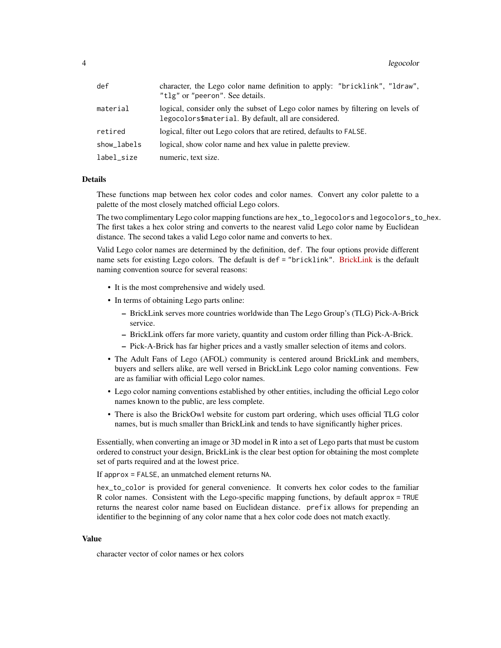#### 4 legocolor de la contrada de la contrada de la contrada de la contrada de la contrada de la contrada de la co

| def         | character, the Lego color name definition to apply: "bricklink", "ldraw",<br>"tlg" or "peeron". See details.                             |
|-------------|------------------------------------------------------------------------------------------------------------------------------------------|
| material    | logical, consider only the subset of Lego color names by filtering on levels of<br>legocolors\$material. By default, all are considered. |
| retired     | logical, filter out Lego colors that are retired, defaults to FALSE.                                                                     |
| show_labels | logical, show color name and hex value in palette preview.                                                                               |
| label_size  | numeric, text size.                                                                                                                      |

#### Details

These functions map between hex color codes and color names. Convert any color palette to a palette of the most closely matched official Lego colors.

The two complimentary Lego color mapping functions are hex\_to\_legocolors and legocolors\_to\_hex. The first takes a hex color string and converts to the nearest valid Lego color name by Euclidean distance. The second takes a valid Lego color name and converts to hex.

Valid Lego color names are determined by the definition, def. The four options provide different name sets for existing Lego colors. The default is def = "bricklink". [BrickLink](https://www.bricklink.com) is the default naming convention source for several reasons:

- It is the most comprehensive and widely used.
- In terms of obtaining Lego parts online:
	- BrickLink serves more countries worldwide than The Lego Group's (TLG) Pick-A-Brick service.
	- BrickLink offers far more variety, quantity and custom order filling than Pick-A-Brick.
	- Pick-A-Brick has far higher prices and a vastly smaller selection of items and colors.
- The Adult Fans of Lego (AFOL) community is centered around BrickLink and members, buyers and sellers alike, are well versed in BrickLink Lego color naming conventions. Few are as familiar with official Lego color names.
- Lego color naming conventions established by other entities, including the official Lego color names known to the public, are less complete.
- There is also the BrickOwl website for custom part ordering, which uses official TLG color names, but is much smaller than BrickLink and tends to have significantly higher prices.

Essentially, when converting an image or 3D model in R into a set of Lego parts that must be custom ordered to construct your design, BrickLink is the clear best option for obtaining the most complete set of parts required and at the lowest price.

If approx = FALSE, an unmatched element returns NA.

hex\_to\_color is provided for general convenience. It converts hex color codes to the familiar R color names. Consistent with the Lego-specific mapping functions, by default approx = TRUE returns the nearest color name based on Euclidean distance. prefix allows for prepending an identifier to the beginning of any color name that a hex color code does not match exactly.

#### Value

character vector of color names or hex colors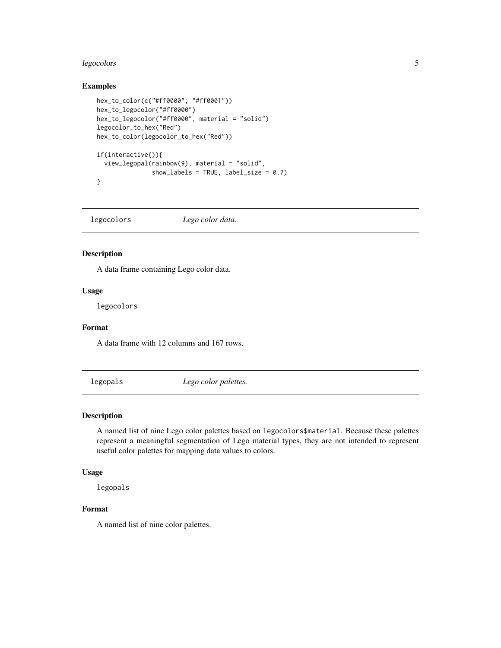#### <span id="page-4-0"></span>legocolors 5

#### Examples

```
hex_to_color(c("#ff0000", "#ff0001"))
hex_to_legocolor("#ff0000")
hex_to_legocolor("#ff0000", material = "solid")
legocolor_to_hex("Red")
hex_to_color(legocolor_to_hex("Red"))
if(interactive()){
  view_legopal(rainbow(9), material = "solid",
               show_labels = TRUE, label_size = 0.7)
}
```
legocolors *Lego color data.*

#### Description

A data frame containing Lego color data.

#### Usage

legocolors

#### Format

A data frame with 12 columns and 167 rows.

legopals *Lego color palettes.*

#### Description

A named list of nine Lego color palettes based on legocolors\$material. Because these palettes represent a meaningful segmentation of Lego material types, they are not intended to represent useful color palettes for mapping data values to colors.

#### Usage

legopals

#### Format

A named list of nine color palettes.